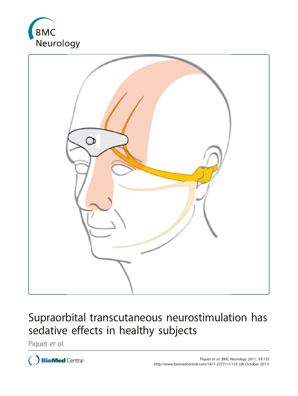



# Supraorbital transcutaneous neurostimulation has sedative effects in healthy subjects

Piquet et al.

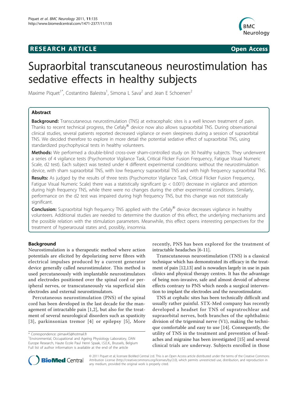# **RESEARCH ARTICLE Example 20 and 20 and 20 and 20 and 20 and 20 and 20 and 20 and 20 and 20 and 20 and 20 and 20 and 20 and 20 and 20 and 20 and 20 and 20 and 20 and 20 and 20 and 20 and 20 and 20 and 20 and 20 and 20 an**



# Supraorbital transcutaneous neurostimulation has sedative effects in healthy subjects

Maxime Piquet<sup>1\*</sup>, Costantino Balestra<sup>1</sup>, Simona L Sava<sup>2</sup> and Jean E Schoenen<sup>2</sup>

# Abstract

**Background:** Transcutaneous neurostimulation (TNS) at extracephalic sites is a well known treatment of pain. Thanks to recent technical progress, the Cefaly<sup>®</sup> device now also allows supraorbital TNS. During observational clinical studies, several patients reported decreased vigilance or even sleepiness during a session of supraorbital TNS. We decided therefore to explore in more detail the potential sedative effect of supraorbital TNS, using standardized psychophysical tests in healthy volunteers.

Methods: We performed a double-blind cross-over sham-controlled study on 30 healthy subjects. They underwent a series of 4 vigilance tests (Psychomotor Vigilance Task, Critical Flicker Fusion Frequency, Fatigue Visual Numeric Scale, d2 test). Each subject was tested under 4 different experimental conditions: without the neurostimulation device, with sham supraorbital TNS, with low frequency supraorbital TNS and with high frequency supraorbital TNS.

Results: As judged by the results of three tests (Psychomotor Vigilance Task, Critical Flicker Fusion Frequency, Fatigue Visual Numeric Scale) there was a statistically significant ( $p < 0.001$ ) decrease in vigilance and attention during high frequency TNS, while there were no changes during the other experimental conditions. Similarly, performance on the d2 test was impaired during high frequency TNS, but this change was not statistically significant.

Conclusion: Supraorbital high frequency TNS applied with the Cefaly® device decreases vigilance in healthy volunteers. Additional studies are needed to determine the duration of this effect, the underlying mechanisms and the possible relation with the stimulation parameters. Meanwhile, this effect opens interesting perspectives for the treatment of hyperarousal states and, possibly, insomnia.

# Background

Neurostimulation is a therapeutic method where action potentials are elicited by depolarizing nerve fibres with electrical impulses produced by a current generator device generally called neurostimulator. This method is used percutaneously with implantable neurostimulators and electrodes positioned over the spinal cord or peripheral nerves, or transcutaneously via superficial skin electrodes and external neurostimulators.

Percutaneous neurostimulation (PNS) of the spinal cord has been developed in the last decade for the management of intractable pain [[1,2](#page-6-0)], but also for the treatment of several neurological disorders such as spasticity [[3\]](#page-6-0), parkinsonian tremor [[4\]](#page-6-0) or epilepsy [[5](#page-6-0)], More

recently, PNS has been explored for the treatment of intractable headaches [[6-11\]](#page-6-0).

Transcutaneous neurostimulation (TNS) is a classical technique which has demonstrated its efficacy in the treatment of pain [\[12,13\]](#page-6-0) and is nowadays largely in use in pain clinics and physical therapy centres. It has the advantage of being non-invasive, safe and almost devoid of adverse effects contrary to PNS which needs a surgical intervention to implant the electrodes and the neurostimulator.

TNS at cephalic sites has been technically difficult and usually rather painful. STX-Med company has recently developed a headset for TNS of supratrochlear and supraorbital nerves, both branches of the ophthalmic division of the trigeminal nerve (V1), making the technique comfortable and easy to use [\[14](#page-6-0)]. Consequently, the utility of TNS in the treatment and prevention of headaches and migraine has been investigated [[15](#page-6-0)] and several clinical trials are underway. Subjects enrolled in those



© 2011 Piquet et al; licensee BioMed Central Ltd. This is an Open Access article distributed under the terms of the Creative Commons Attribution License [\(http://creativecommons.org/licenses/by/2.0](http://creativecommons.org/licenses/by/2.0)), which permits unrestricted use, distribution, and reproduction in any medium, provided the original work is properly cited.

<sup>\*</sup> Correspondence: [pimax45@hotmail.fr](mailto:pimax45@hotmail.fr)

<sup>&</sup>lt;sup>1</sup> Environmental, Occupational and Ageing Physiology Laboratory, DAN Europe Research, Haute Ecole Paul Henri Spaak, I.S.E.K., Brussels, Belgium Full list of author information is available at the end of the article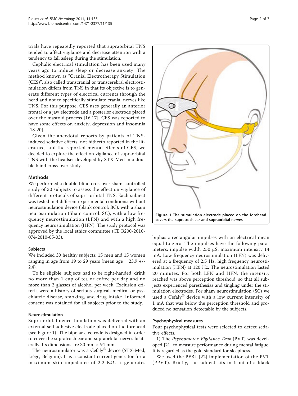trials have repeatedly reported that supraorbital TNS tended to affect vigilance and decrease attention with a tendency to fall asleep during the stimulation.

Cephalic electrical stimulation has been used many years ago to induce sleep or decrease anxiety. The method known as "Cranial Electrotherapy Stimulation (CES)", also called transcranial or transcerebral electrostimulation differs from TNS in that its objective is to generate different types of electrical currents through the head and not to specifically stimulate cranial nerves like TNS. For this purpose, CES uses generally an anterior frontal or a jaw electrode and a posterior electrode placed over the mastoid process [[16,17\]](#page-6-0). CES was reported to have some effects on anxiety, depression and insomnia [[18-20\]](#page-7-0).

Given the anecdotal reports by patients of TNSinduced sedative effects, not hitherto reported in the literature, and the reported mental effects of CES, we decided to explore the effect on vigilance of supraorbital TNS with the headset developed by STX-Med in a double blind cross-over study.

# Methods

We performed a double-blind crossover sham-controlled study of 30 subjects to assess the effect on vigilance of different protocols of supra-orbital TNS. Each subject was tested in 4 different experimental conditions: without neurostimulation device (blank control: BC), with a sham neurostimulation (Sham control: SC), with a low frequency neurostimulation (LFN) and with a high frequency neurostimulation (HFN). The study protocol was approved by the local ethics committee (CE B200-2010- 074-2010-05-03).

#### Subjects

We included 30 healthy subjects: 15 men and 15 women ranging in age from 19 to 29 years (mean age =  $23.9$  +/-2.4).

To be eligible, subjects had to be right-handed, drink no more than 1 cup of tea or coffee per day and no more than 2 glasses of alcohol per week. Exclusion criteria were a history of serious surgical, medical or psychiatric disease, smoking, and drug intake. Informed consent was obtained for all subjects prior to the study.

#### Neurostimulation

Supra-orbital neurostimulation was delivered with an external self adhesive electrode placed on the forehead (see Figure 1). The bipolar electrode is designed in order to cover the supratrochlear and supraorbital nerves bilaterally. Its dimensions are 30 mm × 94 mm.

The neurostimulator was a Cefaly® device (STX-Med, Liège, Belgium). It is a constant current generator for a maximum skin impedance of 2.2 KΩ. It generates



biphasic rectangular impulses with an electrical mean equal to zero. The impulses have the following parameters: impulse width 250 μS, maximum intensity 14 mA. Low frequency neurostimulation (LFN) was delivered at a frequency of 2.5 Hz, high frequency neurostimulation (HFN) at 120 Hz. The neurostimulation lasted 20 minutes. For both LFN and HFN, the intensity reached was above perception threshold, so that all subjects experienced paresthesias and tingling under the stimulation electrodes. For sham neurostimulation (SC) we used a Cefaly<sup>®</sup> device with a low current intensity of 1 mA that was below the perception threshold and produced no sensation detectable by the subjects.

#### Psychophysical measures

Four psychophysical tests were selected to detect sedative effects.

1) The Psychomotor Vigilance Task (PVT) was developed [[21](#page-7-0)] to measure performance during mental fatigue. It is regarded as the gold standard for sleepiness.

We used the PEBL [[22\]](#page-7-0) implementation of the PVT (PPVT). Briefly, the subject sits in front of a black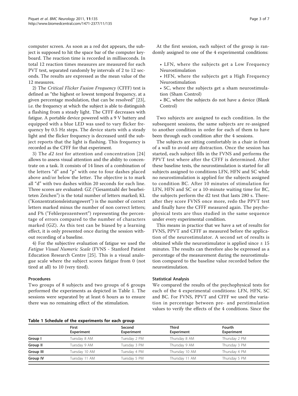computer screen. As soon as a red dot appears, the subject is supposed to hit the space bar of the computer keyboard. The reaction time is recorded in milliseconds. In total 12 reaction times measures are measured for each PVT test, separated randomly by intervals of 2 to 12 seconds. The results are expressed as the mean value of the 12 measures.

2) The Critical Flicker Fusion Frequency (CFFF) test is defined as "the highest or lowest temporal frequency, at a given percentage modulation, that can be resolved" [\[23](#page-7-0)], i.e. the frequency at which the subject is able to distinguish a flashing from a steady light. The CFFF decreases with fatigue. A portable device powered with a 9 V battery and equipped with a blue LED was used to vary flicker frequency by 0.5 Hz steps. The device starts with a steady light and the flicker frequency is decreased until the subject reports that the light is flashing. This frequency is recorded as the CFFF for that experiment.

3) The d2 test for attention and concentration [[24](#page-7-0)] allows to assess visual attention and the ability to concentrate on a task. It consists of 14 lines of a combination of the letters "d" and "p" with one to four dashes placed above and/or below the letter. The objective is to mark all "d" with two dashes within 20 seconds for each line. Three scores are evaluated: GZ ("Gesamtzahl der bearbeiteten Zeichen") is the total number of letters marked; KL ("Konzentrationsleistungswert") is the number of correct letters marked minus the number of non correct letters; and F% ("Fehlerprozentwert") representing the percentage of errors compared to the number of characters marked (GZ). As this test can be biased by a learning effect, it is only presented once during the session without recording of a baseline.

4) For the subjective evaluation of fatigue we used the Fatigue Visual Numeric Scale (FVNS - Stanford Patient Education Research Centre [\[25](#page-7-0)]. This is a visual analogue scale where the subject scores fatigue from 0 (not tired at all) to 10 (very tired).

#### Procedures

Two groups of 8 subjects and two groups of 6 groups performed the experiments as depicted in Table 1. The sessions were separated by at least 6 hours as to ensure there was no remaining effect of the stimulation.

Table 1 Schedule of the experiments for each group

At the first session, each subject of the group is randomly assigned to one of the 4 experimental conditions:

- LFN, where the subjects get a Low Frequency Neurostimulation
- HFN, where the subjects get a High Frequency Neurostimulation
- SC, where the subjects get a sham neurostimulation (Sham Control)
- BC, where the subjects do not have a device (Blank Control)

Two subjects are assigned to each condition. In the subsequent sessions, the same subjects are re-assigned to another condition in order for each of them to have been through each condition after the 4 sessions.

The subjects are sitting comfortably in a chair in front of a wall to avoid any distraction. Once the session has started, each subject fills in the FVNS and performs the PPVT test where after the CFFF is determined. After these baseline tests, the neurostimulation is started for all subjects assigned to conditions LFN, HFN and SC while no neurostimulation is applied for the subjects assigned to condition BC. After 10 minutes of stimulation for LFN, HFN and SC or a 10-minute waiting time for BC, the subjects perform the d2 test that lasts 280 s. Thereafter they score FVNS once more, redo the PPVT test and finally have the CFFF measured again. The psychophysical tests are thus studied in the same sequence under every experimental condition.

This means in practice that we have a set of results for FVNS, PPVT and CFFF as measured before the application of the neurostimulator. A second set of results is obtained while the neurostimulator is applied since  $\pm$  15 minutes. The results can therefore also be expressed as a percentage of the measurement during the neurostimulation compared to the baseline value recorded before the neurostimulation.

# Statistical Analysis

We compared the results of the psychophysical tests for each of the 4 experimental conditions: LFN, HFN, SC and BC. For FVNS, PPVT and CFFF we used the variation in percentage between pre- and perstimulation values to verify the effects of the 4 conditions. Since the

| TAMIC T SCHEMMIC OF GIC CAPCITHICHIS TOT CACH MIDAP |                            |                             |                            |                      |  |  |
|-----------------------------------------------------|----------------------------|-----------------------------|----------------------------|----------------------|--|--|
|                                                     | <b>First</b><br>Experiment | Second<br><b>Experiment</b> | <b>Third</b><br>Experiment | Fourth<br>Experiment |  |  |
| Group I                                             | Tuesday 8 AM               | Tuesday 2 PM                | Thursday 8 AM              | Thursday 2 PM        |  |  |
| Group II                                            | Tuesday 9 AM               | Tuesday 3 PM                | Thursday 9 AM              | Thursday 3 PM        |  |  |
| Group III                                           | Tuesday 10 AM              | Tuesday 4 PM                | Thursday 10 AM             | Thursday 4 PM        |  |  |
| <b>Group IV</b>                                     | Tuesday 11 AM              | Tuesday 5 PM                | Thursday 11 AM             | Thursday 5 PM        |  |  |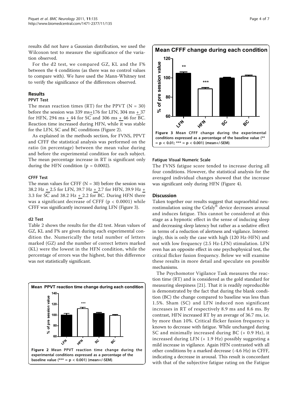results did not have a Gaussian distribution, we used the Wilcoxon test to measure the significance of the variation observed.

For the d2 test, we compared GZ, KL and the F% between the 4 conditions (as there was no control values to compare with). We have used the Mann-Whitney test to verify the significance of the differences observed.

### Results

#### PPVT Test

The mean reaction times (RT) for the PPVT ( $N = 30$ ) before the session was 339 ms+176 for LFN, 304 ms + 37 for HFN, 294 ms + 44 for SC and 306 ms + 46 for BC. Reaction time increased during HFN, while it was stable for the LFN, SC and BC conditions (Figure 2).

As explained in the methods section, for FVNS, PPVT and CFFF the statistical analysis was performed on the ratio (in percentage) between the mean value during and before the experimental condition for each subject. The mean percentage increase in RT is significant only during the HFN condition ( $p = 0.0002$ ).

#### CFFF Test

The mean values for CFFF  $(N = 30)$  before the session was 38.2 Hz + 2.5 for LFN, 39.7 Hz + 2.7 for HFN, 39.9 Hz + 3.3 for SC and 38.2 Hz  $+$  2.2 for BC. During HFN there was a significant decrease of CFFF ( $p < 0.0001$ ) while CFFF was significantly increased during LFN (Figure 3).

### d2 Test

Table [2](#page-5-0) shows the results for the d2 test. Mean values of GZ, KL and F% are given during each experimental condition the. Numerically the total number of letters marked (GZ) and the number of correct letters marked (KL) were the lowest in the HFN condition, while the percentage of errors was the highest, but this difference was not statistically significant.



**Mean CFFF change during each condition** 120 pre session value of pre session value --100 ---80 ৳  $\approx$ 60 LEY **HITA** ىكى <u>୍</u>ଚ୍ Figure 3 Mean CFFF change during the experimental conditions expressed as a percentage of the baseline value (\*\*  $= p < 0.01$ ; \*\*\*  $= p < 0.001$ ) (mean+/-SEM).

#### Fatigue Visual Numeric Scale

The FVNS fatigue score tended to increase during all four conditions. However, the statistical analysis for the averaged individual changes showed that the increase was significant only during HFN (Figure [4\)](#page-5-0).

### **Discussion**

Taken together our results suggest that supraorbital neurostimulation using the Cefaly® device decreases arousal and induces fatigue. This cannot be considered at this stage as a hypnotic effect in the sense of inducing sleep and decreasing sleep latency but rather as a sedative effect in terms of a reduction of alertness and vigilance. Interestingly, this is only the case with high (120 Hz-HFN) and not with low frequency (2.5 Hz-LFN) stimulation. LFN even has an opposite effect in one psychophysical test, the critical flicker fusion frequency. Below we will examine these results in more detail and speculate on possible mechanisms.

The Psychomotor Vigilance Task measures the reaction time (RT) and is considered as the gold standard for measuring sleepiness [\[21](#page-7-0)]. That it is readily reproducible is demonstrated by the fact that during the blank condition (BC) the change compared to baseline was less than 1.5%. Sham (SC) and LFN induced non significant increases in RT of respectively 8.9 ms and 8.6 ms. By contrast, HFN increased RT by an average of 36.7 ms, i.e. by more than 10%. Critical flicker fusion frequency is known to decrease with fatigue. While unchanged during SC and minimally increased during BC (+ 0.9 Hz), it increased during LFN (+ 1.9 Hz) possibly suggesting a mild increase in vigilance. Again HFN contrasted with all other conditions by a marked decrease (-4.6 Hz) in CFFF, indicating a decrease in arousal. This result is concordant with that of the subjective fatigue rating on the Fatigue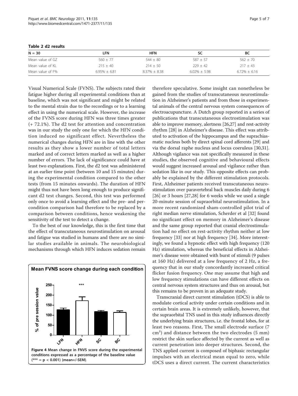| $N = 30$         | LFN             | <b>HFN</b>        |                 | BС                |
|------------------|-----------------|-------------------|-----------------|-------------------|
| Mean value of GZ | $560 + 77$      | $544 + 80$        | $587 + 57$      | $562 + 70$        |
| Mean value of KL | $215 \pm 40$    | $214 + 50$        | $229 + 42$      | $217 \pm 43$      |
| Mean value of F% | $6.95\% + 6.81$ | $8.37\% \pm 8.38$ | $6.02\% + 5.98$ | $6.72\% \pm 6.16$ |

<span id="page-5-0"></span>Table 2 d2 results

Visual Numerical Scale (FVNS). The subjects rated their fatigue higher during all experimental conditions than at baseline, which was not significant and might be related to the mental strain due to the recordings or to a learning effect in using the numerical scale. However, the increase of the FVNS score during HFN was three times greater (+ 72.1%). The d2 test for attention and concentration was in our study the only one for which the HFN condition induced no significant effect. Nevertheless the numerical changes during HFN are in line with the other results as they show a lower number of total letters marked and of correct letters marked as well as a higher number of errors. The lack of significance could have at least two explanations. First, the d2 test was administered at an earlier time point (between 10 and 15 minutes) during the experimental condition compared to the other tests (from 15 minutes onwards). The duration of HFN might thus not have been long enough to produce significant d2 test changes. Second, this test was performed only once to avoid a learning effect and the pre- and percondition comparison had therefore to be replaced by a comparison between conditions, hence weakening the sensitivity of the test to detect a change.

To the best of our knowledge, this is the first time that the effect of transcutaneous neurostimulation on arousal and fatigue was studied in humans and there are no similar studies available in animals. The neurobiological mechanisms through which HFN induces sedation remain



therefore speculative. Some insight can nonetheless be gained from the studies of transcutaneous neurostimulation in Alzheimer's patients and from those in experimental animals of the central nervous system consequences of electroacupuncture. A Dutch group reported in a series of publications that transcutaneous electrostimulation was able to improve memory, alertness [\[26,27](#page-7-0)] and rest-activity rhythm [\[28](#page-7-0)] in Alzheimer's disease. This effect was attributed to activation of the hippocampus and the suprachiasmatic nucleus both by direct spinal cord afferents [\[29\]](#page-7-0) and via the dorsal raphe nucleus and locus coeruleus [\[30,31](#page-7-0)]. Although vigilance was not specifically measured in these studies, the observed cognitive and behavioural effects would suggest increased arousal and vigilance rather than sedation like in our study. This opposite effects can probably be explained by the different stimulation protocols. First, Alzheimer patients received transcutaneous neurostimulation over paravertebral back muscles daily during 6 [[26\]](#page-7-0) or 3 hours [[27,28](#page-7-0)] for 6 weeks while we used a single 20-minute session of supraorbital neurostimulation. In a more recent randomized sham-controlled pilot trial of right median nerve stimulation, Scherder et al [[32\]](#page-7-0) found no significant effect on memory in Alzheimer's disease and the same group reported that cranial electrostimulation had no effect on rest-activity rhythm neither at low frequency [[33\]](#page-7-0) nor at high frequency [\[34\]](#page-7-0). More interestingly, we found a hypnotic effect with high frequency (120 Hz) stimulation, whereas the beneficial effects in Alzheimer's disease were obtained with burst of stimuli (9 pulses at 160 Hz) delivered at a low frequency of 2 Hz, a frequency that in our study concordantly increased critical flicker fusion frequency. One may assume that high and low frequency stimulations can have different effects on central nervous system structures and thus on arousal, but this remains to be proven in an adequate study.

Transcranial direct current stimulation (tDCS) is able to modulate cortical activity under certain conditions and in certain brain areas. It is extremely unlikely, however, that the supraorbital TNS used in this study influences directly the underlying brain structures, i.e. the frontal lobes, for at least two reasons. First, The small electrode surface (7 cm²) and distance between the two electrodes (5 mm) restrict the skin surface affected by the current as well as current penetration into deeper structures. Second, the TNS applied current is composed of biphasic rectangular impulses with an electrical mean equal to zero, while tDCS uses a direct current. The current characteristics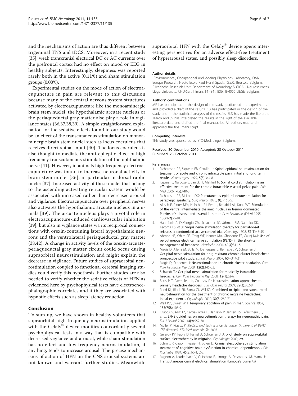<span id="page-6-0"></span>and the mechanisms of action are thus different between trigeminal TNS and tDCS. Moreover, in a recent study [[35\]](#page-7-0), weak transcranial electrical DC or AC currents over the prefrontal cortex had no effect on mood or EEG in healthy subjects. Interestingly, sleepiness was reported rarely both in the active (0.11%) and sham stimulation groups (0.08%).

Experimental studies on the mode of action of electroacupuncture in pain are relevant to this discussion because many of the central nervous system structures activated by electroacupuncture like the monoaminergic brain stem nuclei, the hypothalamic arcuate nucleus or the periaqueductal gray matter also play a role in vigilance states (36,37,38,39). A simple straightforward explanation for the sedative effects found in our study would be an effect of the transcutaneous stimulation on monoaminergic brain stem nuclei such as locus coeruleus that receives direct spinal input [\[40](#page-7-0)]. The locus coeruleus is also thought to mediate the anti-epileptic effect of high frequency transcutaneous stimulation of the ophthalmic nerve [\[41](#page-7-0)]. However, in animals high frequency electroacupuncture was found to increase neuronal activity in brain stem nuclei [[36](#page-7-0)], in particular in dorsal raphe nuclei [[37\]](#page-7-0). Increased activity of these nuclei that belong to the ascending activating reticular system would be associated with increased rather than decreased arousal and vigilance. Electroacupuncture over peripheral nerves also activates the hypothalamic arcuate nucleus in animals [[39](#page-7-0)]. The arcuate nucleus plays a pivotal role in electroacupuncture-induced cardiovascular inhibition [[39\]](#page-7-0), but also in vigilance states via its reciprocal connections with orexin-containing lateral hypothalamic neurons and the ventrolateral periaqueductal gray matter (38,42). A change in activity levels of the orexin-arcuateperiaqueductal gray matter circuit could occur during supraorbital neurostimulation and might explain the decrease in vigilance. Future studies of supraorbital neurostimulation coupled to functional cerebral imaging studies could verify this hypothesis. Further studies are also needed to verify whether the sedative effects of HFN as evidenced here by psychophysical tests have electroencephalographic correlates and if they are associated with hypnotic effects such as sleep latency reduction.

# Conclusion

To sum up, we have shown in healthy volunteers that supraorbital high frequency neurostimulation applied with the Cefaly® device modifies concordantly several psychophysical tests in a way that is compatible with decreased vigilance and arousal, while sham stimulation has no effect and low frequency neurostimulation, if anything, tends to increase arousal. The precise mechanisms of action of HFN on the CNS arousal systems are not known and warrant further studies. Meanwhile

supraorbital HFN with the Cefaly $^{\circledR}$  device opens interesting perspectives for an adverse effect-free treatment of hyperarousal states, and possibly sleep disorders.

#### Author details

1 Environmental, Occupational and Ageing Physiology Laboratory, DAN Europe Research, Haute Ecole Paul Henri Spaak, I.S.E.K., Brussels, Belgium. <sup>2</sup> Headache Research Unit. Department of Neurology & GIGA - Neurosciences Liège University, CHU-Sart Tilman. T4 (+1). B36., B-4000 LIEGE. Belgium.

#### Authors' contributions

MP has participated in the design of the study, performed the experiments and provided a draft of the results. CB has participated in the design of the study and in the statistical analysis of the results. SLS has made the literature search and JS has interpreted the results in the light of the available literature data and drafted the final manuscript. All authors read and approved the final manuscript.

#### Competing interests

This study was sponsored by STX-Med, Liège, Belgium.

Received: 30 December 2010 Accepted: 28 October 2011 Published: 28 October 2011

#### References

- 1. Richardson RR, Siqueira EB, Cerullo LJ: [Spinal epidural neurostimulation for](http://www.ncbi.nlm.nih.gov/pubmed/315523?dopt=Abstract) [treatment of acute and chronic intractable pain: initial and long term](http://www.ncbi.nlm.nih.gov/pubmed/315523?dopt=Abstract) [results.](http://www.ncbi.nlm.nih.gov/pubmed/315523?dopt=Abstract) Neurosurgery 1979, 5(3):344-8.
- 2. Kapural L, Narouze S, Janicki T, Mekhail N: [Spinal cord stimulation is an](http://www.ncbi.nlm.nih.gov/pubmed/17014604?dopt=Abstract) [effective treatment for the chronic intractable visceral pelvic pain.](http://www.ncbi.nlm.nih.gov/pubmed/17014604?dopt=Abstract) Pain Med 2006, 7(5):440-3.
- 3. Richardson RR, McLone DG: [Percutaneous epidural neurostimulation for](http://www.ncbi.nlm.nih.gov/pubmed/305668?dopt=Abstract) [paraplegic spasticity.](http://www.ncbi.nlm.nih.gov/pubmed/305668?dopt=Abstract) Surg Neurol 1978, 9(3):153-5.
- 4. Alesch F, Pinter MM, Helscher RJ, Fertl L, Benabid AL, Koos WT: Stimulation of the ventral intermediate thalamic nucleus in tremor dominated Parkinson's disease and essential tremor. Acta Neurochir (Wien) 1995, 136(1-2):75-81.
- 5. Handforth A, DeGiorgio CM, Schachter SC, Uthman BM, Naritoku DK, Tecoma ES, et al: [Vagus nerve stimulation therapy for partial-onset](http://www.ncbi.nlm.nih.gov/pubmed/9674777?dopt=Abstract) [seizures: a randomized active-control trial.](http://www.ncbi.nlm.nih.gov/pubmed/9674777?dopt=Abstract) Neurology 1998, 51(1):48-55.
- 6. Ahmed HE, White PF, Craig WF, Hamza MA, Ghoname ES, Gajraj NM: [Use of](http://www.ncbi.nlm.nih.gov/pubmed/10759936?dopt=Abstract) [percutaneous electrical nerve stimulation \(PENS\) in the short-term](http://www.ncbi.nlm.nih.gov/pubmed/10759936?dopt=Abstract) [management of headache.](http://www.ncbi.nlm.nih.gov/pubmed/10759936?dopt=Abstract) Headache 2000, 40(4):311-5.
- 7. Magis D, Allena M, Bolla M, De Pasqua V, Remacle JM, Schoenen J: [Occipital nerve stimulation for drug-resistant chronic cluster headache: a](http://www.ncbi.nlm.nih.gov/pubmed/17362835?dopt=Abstract) [prospective pilot study.](http://www.ncbi.nlm.nih.gov/pubmed/17362835?dopt=Abstract) Lancet Neurol 2007, 6(4):314-21.
- 8. Magis D, Schoenen J: [Neurostimulation in chronic cluster headache.](http://www.ncbi.nlm.nih.gov/pubmed/18474196?dopt=Abstract) Curr Pain Headache Rep 2008, 12(2):145-53.
- 9. Schwedt TJ: [Occipital nerve stimulation for medically intractable](http://www.ncbi.nlm.nih.gov/pubmed/18417026?dopt=Abstract) [headache.](http://www.ncbi.nlm.nih.gov/pubmed/18417026?dopt=Abstract) Curr Pain Headache Rep 2008, 12(1):62-6.
- 10. Bartsch T, Paemeleire K, Goadsby PJ: [Neurostimulation approaches to](http://www.ncbi.nlm.nih.gov/pubmed/19434793?dopt=Abstract) [primary headache disorders.](http://www.ncbi.nlm.nih.gov/pubmed/19434793?dopt=Abstract) Curr Opin Neurol 2009, 22(3):262-8.
- 11. Reed KL, Black SB, Banta CJ, Will KR: [Combined occipital and supraorbital](http://www.ncbi.nlm.nih.gov/pubmed/19732075?dopt=Abstract) [neurostimulation for the treatment of chronic migraine headaches:](http://www.ncbi.nlm.nih.gov/pubmed/19732075?dopt=Abstract) [initial experience.](http://www.ncbi.nlm.nih.gov/pubmed/19732075?dopt=Abstract) Cephalalgia 2010, 30(3):260-71.
- 12. Wall PD, Sweet WH: [Temporary abolition of pain in man.](http://www.ncbi.nlm.nih.gov/pubmed/6015561?dopt=Abstract) Science 1967, 155(758):108-9.
- 13. Cruccu G, Aziz TZ, Garcia-Larrea L, Hansson P, Jensen TS, Lefaucheur JP, et al: [EFNS guidelines on neurostimulation therapy for neuropathic pain.](http://www.ncbi.nlm.nih.gov/pubmed/17718686?dopt=Abstract) Eur J Neurol 2007, 14(9):952-70.
- 14. Muller P, Rigaux P: Medical and technical Cefaly dossier (Annexe x of 93/42 CEE directive). STX-Med scientific file 2007.
- 15. Gérardy PY, Fabry D, Fumal A, Schoenen J: A pilot study on supra-orbital surface electrotherapy in migraine. Cephalalgia 2009, 29.
- 16. Schmitt R, Capo T, Frazier H, Boren D: [Cranial electrotherapy stimulation](http://www.ncbi.nlm.nih.gov/pubmed/6370978?dopt=Abstract) [treatment of cognitive brain dysfunction in chemical dependence.](http://www.ncbi.nlm.nih.gov/pubmed/6370978?dopt=Abstract) J Clin Psychiatry 1984, 45(2):60-1, 2-3.
- 17. Mignon A, Laudenbach V, Guischard F, Limoge A, Desmonts JM, Mantz J: [Transcutaneous cranial electrical stimulation \(Limoge](http://www.ncbi.nlm.nih.gov/pubmed/8831319?dopt=Abstract)'s currents)